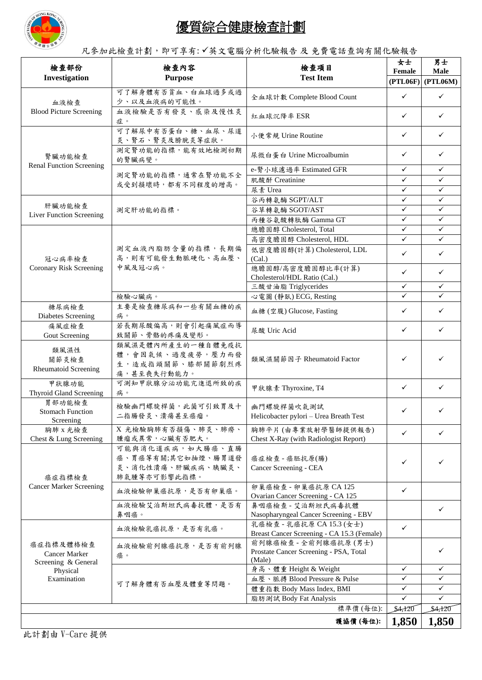

## 優質綜合健康檢查計劃

凡參加此檢查計劃,即可享有: √英文電腦分析化驗報告 及 免費電話查詢有關化驗報告

| 檢查部份                                                                         | 檢查內容<br><b>Purpose</b>                                                      | 檢查項目                                                                     | 女士<br>Female | 男士<br>Male          |
|------------------------------------------------------------------------------|-----------------------------------------------------------------------------|--------------------------------------------------------------------------|--------------|---------------------|
| Investigation                                                                |                                                                             | <b>Test Item</b>                                                         |              | $(PTL06F)$ (PTL06M) |
| 血液檢查<br><b>Blood Picture Screening</b>                                       | 可了解身體有否貧血、白血球過多或過<br>少、以及血液病的可能性。                                           | 全血球計數 Complete Blood Count                                               | ✓            | ✓                   |
|                                                                              | 血液檢驗是否有發炎、感染及慢性炎<br>症。                                                      | 紅血球沉降率 ESR                                                               | ✓            | ✓                   |
| 腎臟功能檢查<br><b>Renal Function Screening</b>                                    | 可了解尿中有否蛋白、糖、血尿、尿道<br>炎、腎石、腎炎及膀胱炎等症狀。                                        | 小便常規 Urine Routine                                                       | ✓            | ✓                   |
|                                                                              | 測定腎功能的指標,能有效地檢測初期<br>的腎臟病變。                                                 | 尿微白蛋白 Urine Microalbumin                                                 | ✓            | ✓                   |
|                                                                              | 測定腎功能的指標,通常在腎功能不全<br>或受到損壞時,都有不同程度的增高。                                      | e-腎小球濾過率 Estimated GFR                                                   | ✓            | ✓                   |
|                                                                              |                                                                             | 肌酸酐 Creatinine                                                           | ✓            | ✓                   |
|                                                                              |                                                                             | 尿素 Urea                                                                  | $\checkmark$ | ✓                   |
| 肝臟功能檢查                                                                       | 測定肝功能的指標。                                                                   | 谷丙轉氨酶 SGPT/ALT                                                           | $\checkmark$ | $\checkmark$        |
| Liver Function Screening                                                     |                                                                             | 谷草轉氨酶 SGOT/AST                                                           | ✓            | ✓                   |
|                                                                              |                                                                             | 丙種谷氨酸轉肽酶 Gamma GT                                                        | ✓            | ✓                   |
|                                                                              | 測定血液內脂肪含量的指標,長期偏<br>高,則有可能發生動脈硬化、高血壓、<br>中風及冠心病。                            | 總膽固醇 Cholesterol, Total                                                  | ✓            | ✓                   |
|                                                                              |                                                                             | 高密度膽固醇 Cholesterol, HDL                                                  | ✓            | $\checkmark$        |
| 冠心病率檢查<br>Coronary Risk Screening                                            |                                                                             | 低密度膽固醇(計算) Cholesterol, LDL<br>(Cal.)                                    | ✓            | ✓                   |
|                                                                              |                                                                             | 總膽固醇/高密度膽固醇比率(計算)<br>Cholesterol/HDL Ratio (Cal.)                        | ✓            | ✓                   |
|                                                                              |                                                                             | 三酸甘油脂 Triglycerides                                                      | ✓            | ✓                   |
|                                                                              | 檢驗心臟病。                                                                      | 心電圖 (静臥) ECG, Resting                                                    | ✓            | ✓                   |
| 糖尿病檢查<br>Diabetes Screening                                                  | 主要是檢查糖尿病和一些有關血糖的疾<br>病。                                                     | 血糖 (空腹) Glucose, Fasting                                                 | ✓            | ✓                   |
| 痛風症檢查<br>Gout Screening                                                      | 若長期尿酸偏高,則會引起痛風症而導<br>致關節、骨骼的疼痛及變形。                                          | 尿酸 Uric Acid                                                             | ✓            | ✓                   |
| 類風濕性<br>關節炎檢查<br><b>Rheumatoid Screening</b>                                 | 類風濕是體內所產生的一種自體免疫抗<br>體,會因氣候、過度疲勞,壓力而發<br>生,造成指頭關節、膝部關節劇烈疼<br>痛,甚至喪失行動能力。    | 類風濕關節因子 Rheumatoid Factor                                                | ✓            |                     |
| 甲狀腺功能<br><b>Thyroid Gland Screening</b>                                      | 可測知甲狀腺分泌功能亢進退所致的疾<br>病。                                                     | 甲狀腺素 Thyroxine, T4                                                       | ✓            | ✓                   |
| 胃部功能檢查<br><b>Stomach Function</b><br>Screening                               | 檢驗幽門螺旋桿菌,此菌可引致胃及十<br>二指腸發炎、潰瘍甚至癌瘤。                                          | 幽門螺旋桿菌吹氣測試<br>Helicobacter pylori - Urea Breath Test                     | ✓            | ✓                   |
| 胸肺 x 光檢查<br>Chest & Lung Screening                                           | X 光檢驗胸肺有否損傷、肺炎、肺癆、<br>腫瘤或異常,心臟有否肥大。                                         | 胸肺平片 (由專業放射學醫師提供報告)<br>Chest X-Ray (with Radiologist Report)             | ✓            | ✓                   |
| 癌症指標檢查<br><b>Cancer Marker Screening</b>                                     | 可能與消化道疾病,如大腸癌、直腸<br>癌、胃癌等有關;其它如抽煙、腸胃道發<br>炎、消化性潰瘍、肝臟疾病、胰臟炎、<br>肺氣腫等亦可影響此指標。 | 癌症檢查 - 癌胚抗原(腸)<br>Cancer Screening - CEA                                 | ✓            | ✓                   |
|                                                                              | 血液檢驗卵巢癌抗原,是否有卵巢癌。                                                           | 卵巢癌檢查 - 卵巢癌抗原 CA 125<br>Ovarian Cancer Screening - CA 125                | ✓            |                     |
|                                                                              | 血液檢驗艾泊斯坦氏病毒抗體,是否有<br>鼻咽癌。                                                   | 鼻咽癌檢查 - 艾泊斯坦氏病毒抗體<br>Nasopharyngeal Cancer Screening - EBV               |              | ✓                   |
| 癌症指標及體格檢查<br>Cancer Marker<br>Screening & General<br>Physical<br>Examination | 血液檢驗乳癌抗原,是否有乳癌。                                                             | 乳癌檢查 - 乳癌抗原 CA 15.3 (女士)<br>Breast Cancer Screening - CA 15.3 (Female)   | ✓            |                     |
|                                                                              | <b>血液檢驗前列腺癌抗原,是否有前列腺</b><br>癌。                                              | 前列腺癌檢查 - 全前列腺癌抗原(男士)<br>Prostate Cancer Screening - PSA, Total<br>(Male) |              | ✓                   |
|                                                                              | 可了解身體有否血壓及體重等問題。                                                            | 身高、體重 Height & Weight                                                    | ✓            | ✓                   |
|                                                                              |                                                                             | 血壓、脈搏 Blood Pressure & Pulse                                             | ✓            | ✓                   |
|                                                                              |                                                                             | 體重指數 Body Mass Index, BMI                                                | $\checkmark$ | $\checkmark$        |
|                                                                              |                                                                             | 脂肪測試 Body Fat Analysis                                                   | $\checkmark$ | ✓                   |
|                                                                              |                                                                             | 標準價 (每位):                                                                | \$4,120      | \$4,120             |
|                                                                              |                                                                             | 護協價(每位):                                                                 | 1,850        | 1,850               |